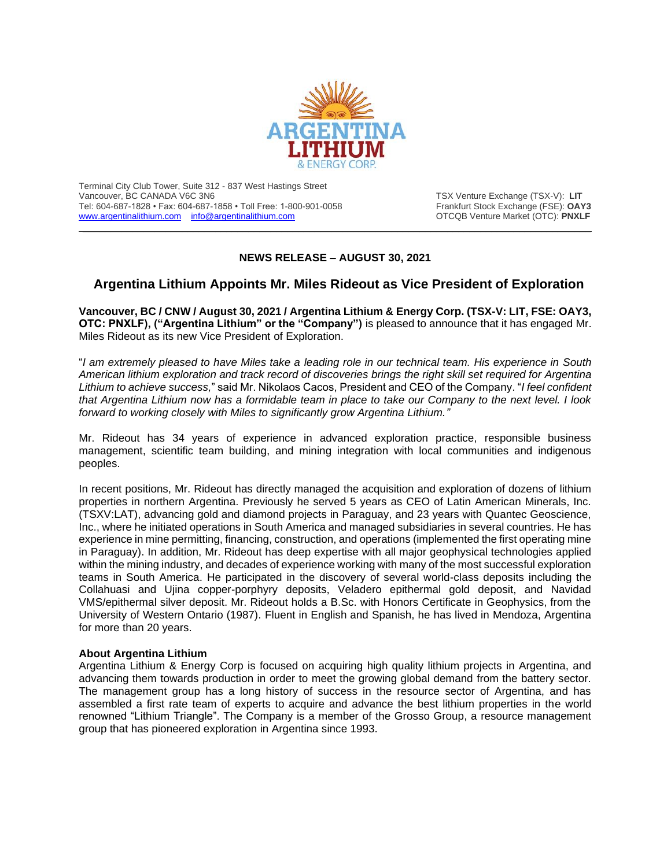

Terminal City Club Tower, Suite 312 - 837 West Hastings Street Vancouver, BC CANADA V6C 3N6<br>Tel: 604-687-1828 • Fax: 604-687-1858 • Toll Free: 1-800-901-0058 Trankfurt Stock Exchange (FSE): **OAY3** Tel: 604-687-1828 • Fax: 604-687-1858 • Toll Free: 1-800-901-0058 [www.argentinalithium.com](http://www.argentinalithium.com/) [info@argentinalithium.com](mailto:info@argentinalithium.com) **info@argentinalithium.com OTCQB** Venture Market (OTC): **PNXLF** 

## **NEWS RELEASE – AUGUST 30, 2021**

 $\_$  , and the state of the state of the state of the state of the state of the state of the state of the state of the state of the state of the state of the state of the state of the state of the state of the state of the

## **Argentina Lithium Appoints Mr. Miles Rideout as Vice President of Exploration**

**Vancouver, BC / CNW / August 30, 2021 / Argentina Lithium & Energy Corp. (TSX-V: LIT, FSE: OAY3, OTC: PNXLF), ("Argentina Lithium" or the "Company")** is pleased to announce that it has engaged Mr. Miles Rideout as its new Vice President of Exploration.

"*I am extremely pleased to have Miles take a leading role in our technical team. His experience in South American lithium exploration and track record of discoveries brings the right skill set required for Argentina Lithium to achieve success,*" said Mr. Nikolaos Cacos, President and CEO of the Company. "*I feel confident that Argentina Lithium now has a formidable team in place to take our Company to the next level. I look forward to working closely with Miles to significantly grow Argentina Lithium."*

Mr. Rideout has 34 years of experience in advanced exploration practice, responsible business management, scientific team building, and mining integration with local communities and indigenous peoples.

In recent positions, Mr. Rideout has directly managed the acquisition and exploration of dozens of lithium properties in northern Argentina. Previously he served 5 years as CEO of Latin American Minerals, Inc. (TSXV:LAT), advancing gold and diamond projects in Paraguay, and 23 years with Quantec Geoscience, Inc., where he initiated operations in South America and managed subsidiaries in several countries. He has experience in mine permitting, financing, construction, and operations (implemented the first operating mine in Paraguay). In addition, Mr. Rideout has deep expertise with all major geophysical technologies applied within the mining industry, and decades of experience working with many of the most successful exploration teams in South America. He participated in the discovery of several world-class deposits including the Collahuasi and Ujina copper-porphyry deposits, Veladero epithermal gold deposit, and Navidad VMS/epithermal silver deposit. Mr. Rideout holds a B.Sc. with Honors Certificate in Geophysics, from the University of Western Ontario (1987). Fluent in English and Spanish, he has lived in Mendoza, Argentina for more than 20 years.

## **About Argentina Lithium**

Argentina Lithium & Energy Corp is focused on acquiring high quality lithium projects in Argentina, and advancing them towards production in order to meet the growing global demand from the battery sector. The management group has a long history of success in the resource sector of Argentina, and has assembled a first rate team of experts to acquire and advance the best lithium properties in the world renowned "Lithium Triangle". The Company is a member of the Grosso Group, a resource management group that has pioneered exploration in Argentina since 1993.